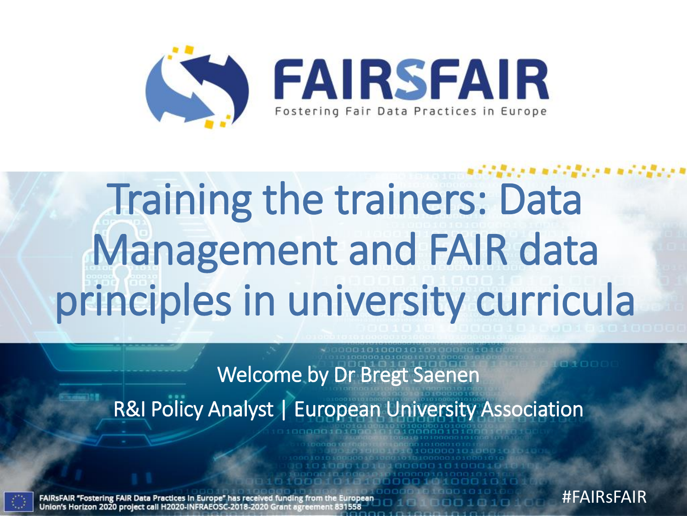

# Training the trainers: Data Management and FAIR data principles in university curricula

Welcome by Dr Bregt Saenen

R&I Policy Analyst | European University Association



ostering FAIR Data Practices In Europe" has received funding orizon 2020 project call H2020-INFRAEOSC-2018-2020 Grant agree #FAIRsFAIR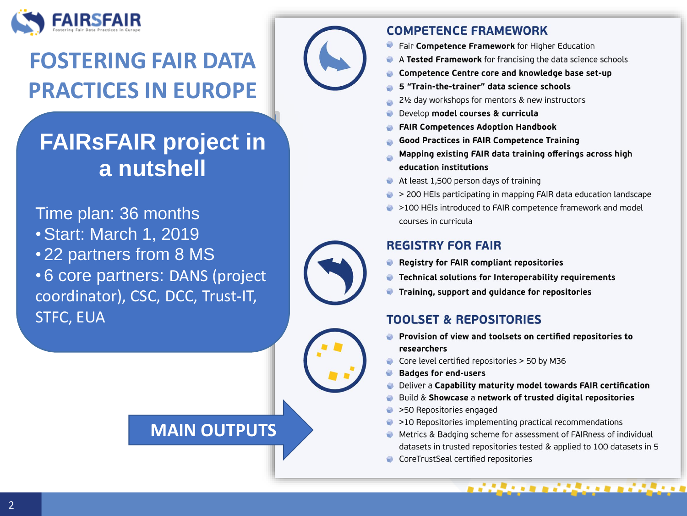

### **FOSTERING FAIR DATA PRACTICES IN EUROPE**

### **FAIRSFAIR project in** a nutshell

Time plan: 36 months

- **. Start: March 1, 2019**
- •22 partners from 8 MS

• 6 core partners: DANS (project coordinator), CSC, DCC, Trust-IT, **STFC, EUA** 

### **MAIN OUTPUTS**



#### **COMPETENCE FRAMEWORK**

- Fair Competence Framework for Higher Education
- A Tested Framework for francising the data science schools
- Competence Centre core and knowledge base set-up
- 5 "Train-the-trainer" data science schools
- 21/2 day workshops for mentors & new instructors
- Develop model courses & curricula
- **FAIR Competences Adoption Handbook**
- Good Practices in FAIR Competence Training
- Mapping existing FAIR data training offerings across high education institutions
- At least 1,500 person days of training
- $\rightarrow$  200 HEIs participating in mapping FAIR data education landscape
- >100 HEIs introduced to FAIR competence framework and model courses in curricula

#### **REGISTRY FOR FAIR**

- Registry for FAIR compliant repositories
- **Technical solutions for Interoperability requirements**
- Training, support and guidance for repositories ۰

### **TOOLSET & REPOSITORIES**

- Provision of view and toolsets on certified repositories to researchers
- Core level certified repositories > 50 by M36
- **Badges for end-users**
- Deliver a Capability maturity model towards FAIR certification
- Build & Showcase a network of trusted digital repositories
- >50 Repositories engaged
- >10 Repositories implementing practical recommendations
- Metrics & Badging scheme for assessment of FAIRness of individual datasets in trusted repositories tested & applied to 100 datasets in 5

i dikenaan di dikenaan di dikena

CoreTrustSeal certified repositories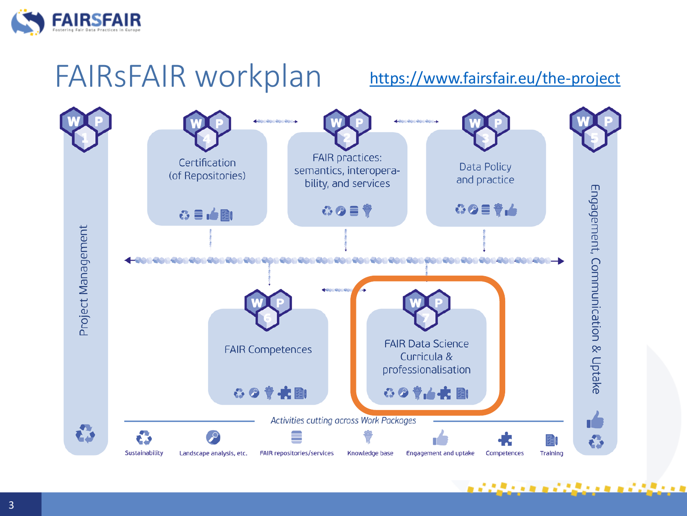

## FAIRsFAIR workplan

### <https://www.fairsfair.eu/the-project>

医皮肤不全的 医前皮膜内皮炎 医前皮膜内皮炎

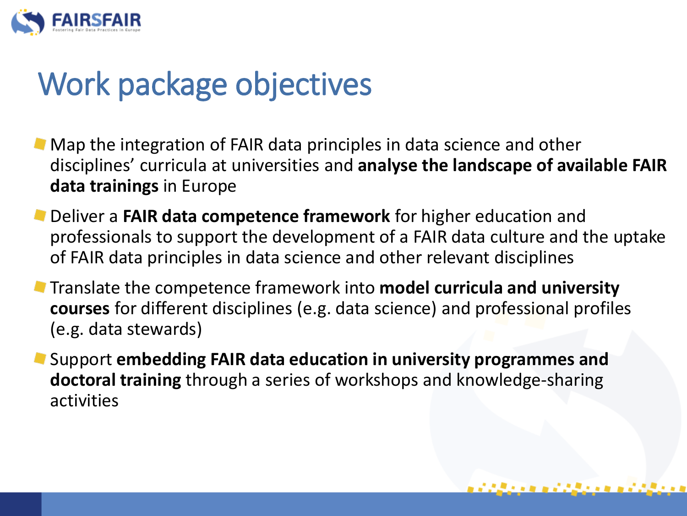

## Work package objectives

- **Map the integration of FAIR data principles in data science and other** disciplines' curricula at universities and **analyse the landscape of available FAIR data trainings** in Europe
- **Deliver a FAIR data competence framework** for higher education and professionals to support the development of a FAIR data culture and the uptake of FAIR data principles in data science and other relevant disciplines
- Translate the competence framework into **model curricula and university courses** for different disciplines (e.g. data science) and professional profiles (e.g. data stewards)
- Support **embedding FAIR data education in university programmes and doctoral training** through a series of workshops and knowledge-sharing activities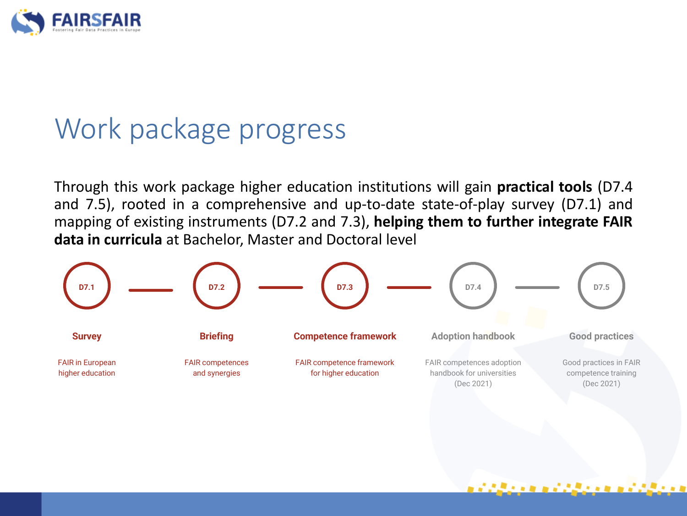

## Work package progress

Through this work package higher education institutions will gain **practical tools** (D7.4 and 7.5), rooted in a comprehensive and up-to-date state-of-play survey (D7.1) and mapping of existing instruments (D7.2 and 7.3), **helping them to further integrate FAIR data in curricula** at Bachelor, Master and Doctoral level

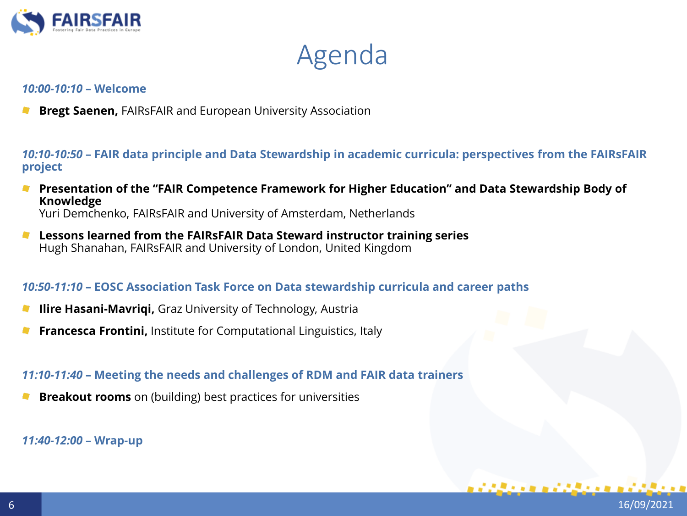

Agenda

#### *10:00-10:10* **– Welcome**

**Bregt Saenen,** FAIRsFAIR and European University Association

*10:10-10:50* **– FAIR data principle and Data Stewardship in academic curricula: perspectives from the FAIRsFAIR project**

**Presentation of the "FAIR Competence Framework for Higher Education" and Data Stewardship Body of Knowledge**

Yuri Demchenko, FAIRsFAIR and University of Amsterdam, Netherlands

**Lessons learned from the FAIRsFAIR Data Steward instructor training series**  $\mathbf{r}$ Hugh Shanahan, FAIRsFAIR and University of London, United Kingdom

#### *10:50-11:10* **– EOSC Association Task Force on Data stewardship curricula and career paths**

- **Ilire Hasani-Mavriqi,** Graz University of Technology, Austria
- **Francesca Frontini, Institute for Computational Linguistics, Italy**

*11:10-11:40* **– Meeting the needs and challenges of RDM and FAIR data trainers**

**Breakout rooms** on (building) best practices for universities

*11:40-12:00* **– Wrap-up**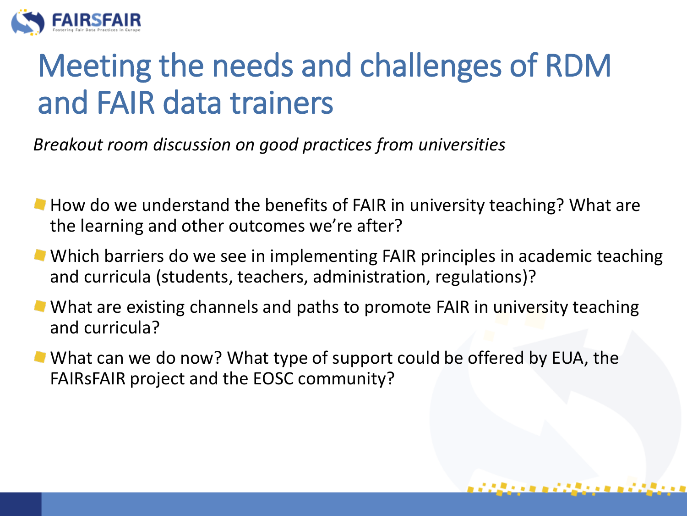

## Meeting the needs and challenges of RDM and FAIR data trainers

*Breakout room discussion on good practices from universities*

- $\blacksquare$  How do we understand the benefits of FAIR in university teaching? What are the learning and other outcomes we're after?
- **Which barriers do we see in implementing FAIR principles in academic teaching** and curricula (students, teachers, administration, regulations)?
- What are existing channels and paths to promote FAIR in university teaching and curricula?
- What can we do now? What type of support could be offered by EUA, the FAIRsFAIR project and the EOSC community?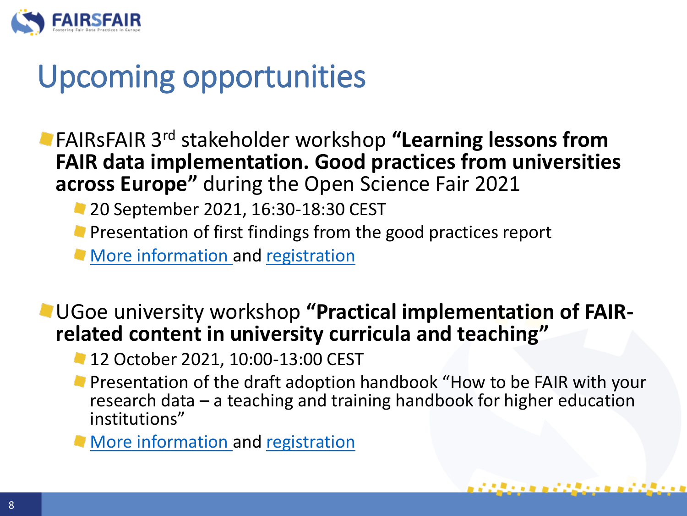

## Upcoming opportunities

- FAIRsFAIR 3rd stakeholder workshop **"Learning lessons from FAIR data implementation. Good practices from universities across Europe"** during the Open Science Fair 2021
	- **20 September 2021, 16:30-18:30 CEST**
	- **Presentation of first findings from the good practices report**
	- **[More information a](https://www.opensciencefair.eu/2021/workshops/learning-lessons-from-fair-data-implementation-good-practices-from-universities-across-europe)nd [registration](https://www.opensciencefair.eu/register)**

### UGoe university workshop **"Practical implementation of FAIRrelated content in university curricula and teaching"**

- 12 October 2021, 10:00-13:00 CEST
- **Presentation of the draft adoption handbook "How to be FAIR with your** research data – a teaching and training handbook for higher education institutions"

医黑色素的 医前庭原的 医的复数形式原子的

**[More information a](https://fairsfair.eu/events/practical-implementation-fair-related-content-university-curricula-and-teaching)nd [registration](https://us02web.zoom.us/webinar/register/WN_NgrQ1xlmQBWDNOVC8NGZDg)**